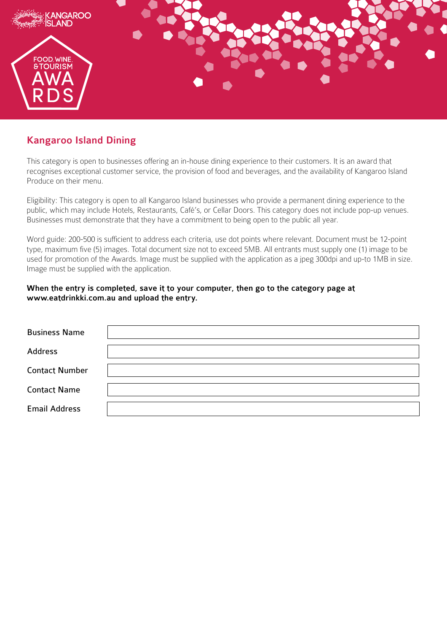

## Kangaroo Island Dining

This category is open to businesses offering an in-house dining experience to their customers. It is an award that recognises exceptional customer service, the provision of food and beverages, and the availability of Kangaroo Island Produce on their menu.

Eligibility: This category is open to all Kangaroo Island businesses who provide a permanent dining experience to the public, which may include Hotels, Restaurants, Café's, or Cellar Doors. This category does not include pop-up venues. Businesses must demonstrate that they have a commitment to being open to the public all year.

Word guide: 200-500 is sufficient to address each criteria, use dot points where relevant. Document must be 12-point type, maximum five (5) images. Total document size not to exceed 5MB. All entrants must supply one (1) image to be used for promotion of the Awards. Image must be supplied with the application as a jpeg 300dpi and up-to 1MB in size. Image must be supplied with the application.

## When the entry is completed, save it to your computer, then go to the category page at www.eatdrinkki.com.au and upload the entry.

| <b>Business Name</b>  |  |
|-----------------------|--|
| Address               |  |
| <b>Contact Number</b> |  |
| <b>Contact Name</b>   |  |
| <b>Email Address</b>  |  |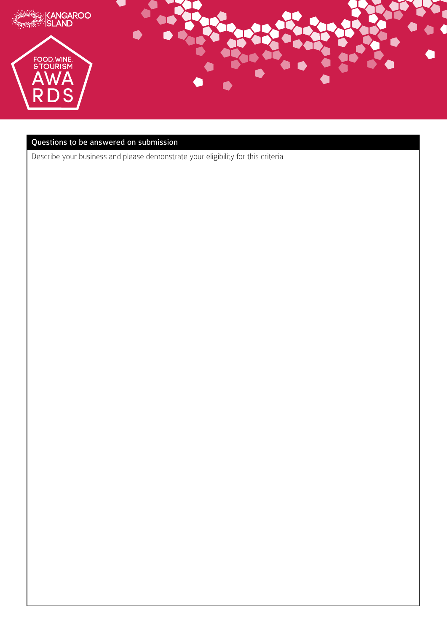

## Questions to be answered on submission

Describe your business and please demonstrate your eligibility for this criteria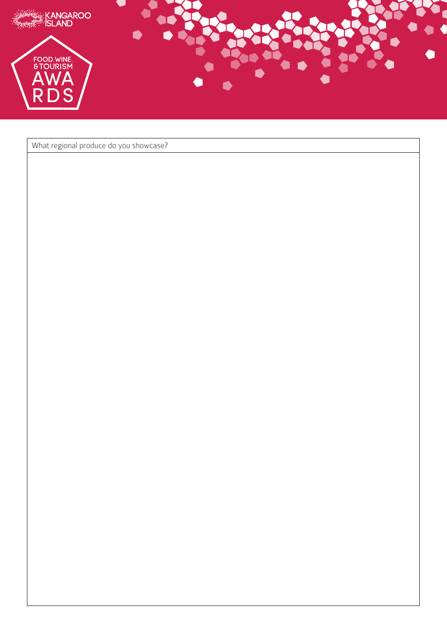

What regional produce do you showcase?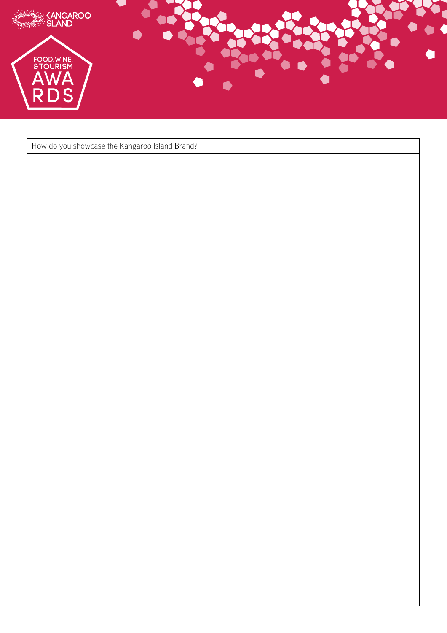

How do you showcase the Kangaroo Island Brand?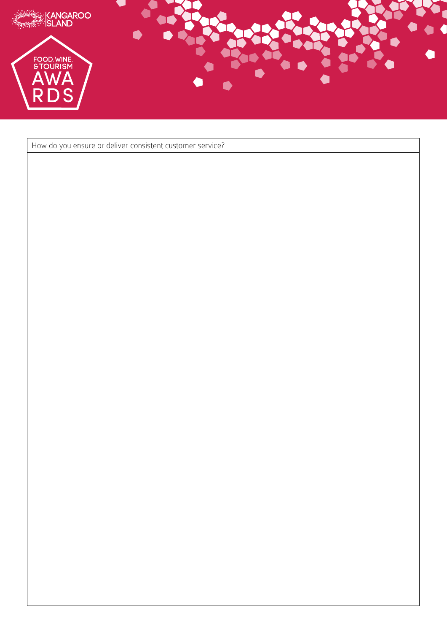

How do you ensure or deliver consistent customer service?